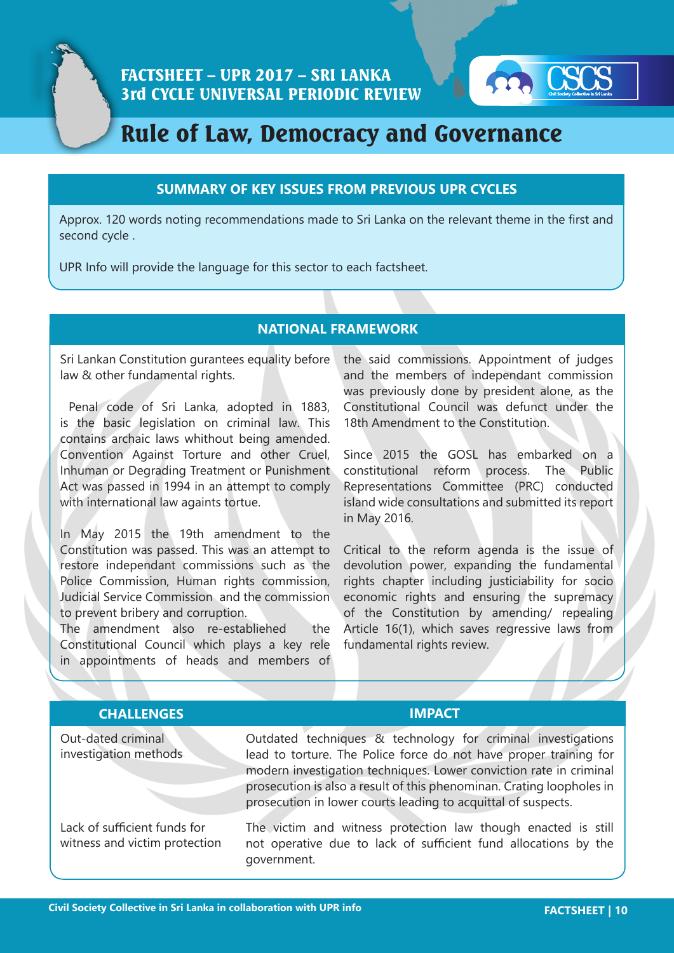

# Rule of Law, Democracy and Governance

# **SUMMARY OF KEY ISSUES FROM PREVIOUS UPR CYCLES**

Approx. 120 words noting recommendations made to Sri Lanka on the relevant theme in the first and second cycle .

UPR Info will provide the language for this sector to each factsheet.

# **NATIONAL FRAMEWORK**

Sri Lankan Constitution gurantees equality before law & other fundamental rights.

 Penal code of Sri Lanka, adopted in 1883, is the basic legislation on criminal law. This contains archaic laws whithout being amended. Convention Against Torture and other Cruel, Inhuman or Degrading Treatment or Punishment Act was passed in 1994 in an attempt to comply with international law againts tortue.

In May 2015 the 19th amendment to the Constitution was passed. This was an attempt to restore independant commissions such as the Police Commission, Human rights commission, Judicial Service Commission and the commission to prevent bribery and corruption.

The amendment also re-establiehed the Constitutional Council which plays a key rele in appointments of heads and members of the said commissions. Appointment of judges and the members of independant commission was previously done by president alone, as the Constitutional Council was defunct under the 18th Amendment to the Constitution.

Since 2015 the GOSL has embarked on a constitutional reform process. The Public Representations Committee (PRC) conducted island wide consultations and submitted its report in May 2016.

Critical to the reform agenda is the issue of devolution power, expanding the fundamental rights chapter including justiciability for socio economic rights and ensuring the supremacy of the Constitution by amending/ repealing Article 16(1), which saves regressive laws from fundamental rights review.

| <b>CHALLENGES</b>                                             | <b>IMPACT</b>                                                                                                                                                                                                                                                                                                                                     |
|---------------------------------------------------------------|---------------------------------------------------------------------------------------------------------------------------------------------------------------------------------------------------------------------------------------------------------------------------------------------------------------------------------------------------|
| Out-dated criminal<br>investigation methods                   | Outdated techniques & technology for criminal investigations<br>lead to torture. The Police force do not have proper training for<br>modern investigation techniques. Lower conviction rate in criminal<br>prosecution is also a result of this phenominan. Crating loopholes in<br>prosecution in lower courts leading to acquittal of suspects. |
| Lack of sufficient funds for<br>witness and victim protection | The victim and witness protection law though enacted is still<br>not operative due to lack of sufficient fund allocations by the<br>government.                                                                                                                                                                                                   |